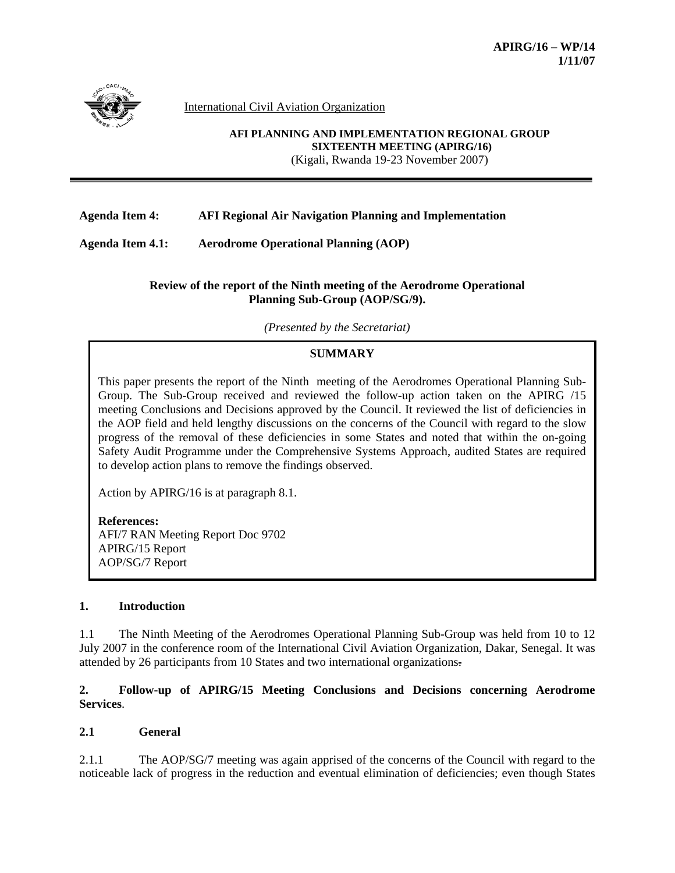

International Civil Aviation Organization

**AFI PLANNING AND IMPLEMENTATION REGIONAL GROUP SIXTEENTH MEETING (APIRG/16)**  (Kigali, Rwanda 19-23 November 2007)

## **Agenda Item 4: AFI Regional Air Navigation Planning and Implementation**

**Agenda Item 4.1: Aerodrome Operational Planning (AOP)** 

#### **Review of the report of the Ninth meeting of the Aerodrome Operational Planning Sub-Group (AOP/SG/9).**

*(Presented by the Secretariat)* 

## **SUMMARY**

This paper presents the report of the Ninth meeting of the Aerodromes Operational Planning Sub-Group. The Sub-Group received and reviewed the follow-up action taken on the APIRG /15 meeting Conclusions and Decisions approved by the Council. It reviewed the list of deficiencies in the AOP field and held lengthy discussions on the concerns of the Council with regard to the slow progress of the removal of these deficiencies in some States and noted that within the on-going Safety Audit Programme under the Comprehensive Systems Approach, audited States are required to develop action plans to remove the findings observed.

Action by APIRG/16 is at paragraph 8.1.

**References:**  AFI/7 RAN Meeting Report Doc 9702 APIRG/15 Report AOP/SG/7 Report

## **1. Introduction**

1.1 The Ninth Meeting of the Aerodromes Operational Planning Sub-Group was held from 10 to 12 July 2007 in the conference room of the International Civil Aviation Organization, Dakar, Senegal. It was attended by 26 participants from 10 States and two international organizations.

**2. Follow-up of APIRG/15 Meeting Conclusions and Decisions concerning Aerodrome Services**.

#### **2.1 General**

2.1.1 The AOP/SG/7 meeting was again apprised of the concerns of the Council with regard to the noticeable lack of progress in the reduction and eventual elimination of deficiencies; even though States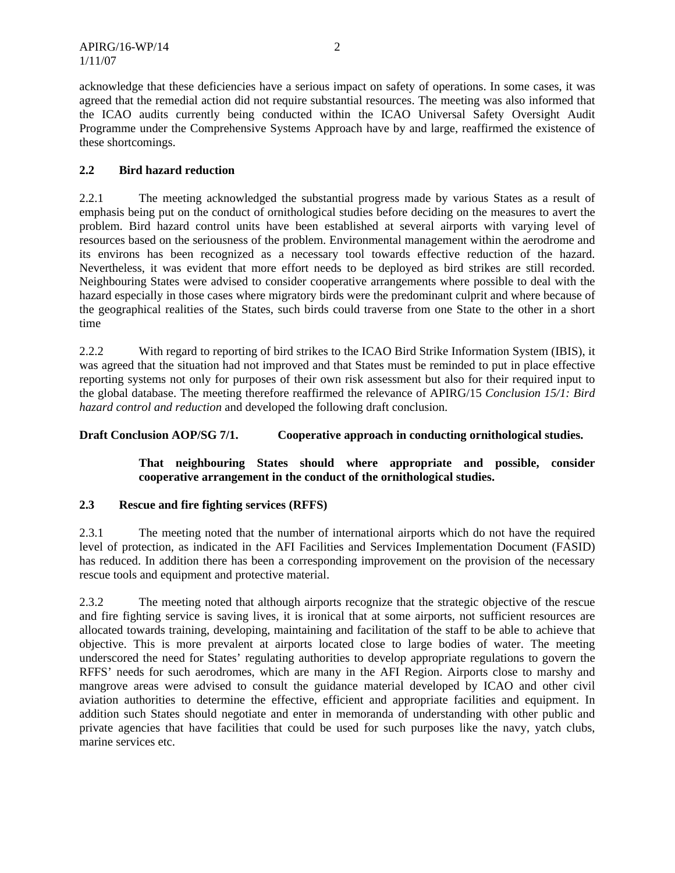these shortcomings.

#### **2.2 Bird hazard reduction**

2.2.1 The meeting acknowledged the substantial progress made by various States as a result of emphasis being put on the conduct of ornithological studies before deciding on the measures to avert the problem. Bird hazard control units have been established at several airports with varying level of resources based on the seriousness of the problem. Environmental management within the aerodrome and its environs has been recognized as a necessary tool towards effective reduction of the hazard. Nevertheless, it was evident that more effort needs to be deployed as bird strikes are still recorded. Neighbouring States were advised to consider cooperative arrangements where possible to deal with the hazard especially in those cases where migratory birds were the predominant culprit and where because of the geographical realities of the States, such birds could traverse from one State to the other in a short time

2.2.2 With regard to reporting of bird strikes to the ICAO Bird Strike Information System (IBIS), it was agreed that the situation had not improved and that States must be reminded to put in place effective reporting systems not only for purposes of their own risk assessment but also for their required input to the global database. The meeting therefore reaffirmed the relevance of APIRG/15 *Conclusion 15/1: Bird hazard control and reduction* and developed the following draft conclusion.

**Draft Conclusion AOP/SG 7/1. Cooperative approach in conducting ornithological studies.** 

# **That neighbouring States should where appropriate and possible, consider cooperative arrangement in the conduct of the ornithological studies.**

#### **2.3 Rescue and fire fighting services (RFFS)**

2.3.1 The meeting noted that the number of international airports which do not have the required level of protection, as indicated in the AFI Facilities and Services Implementation Document (FASID) has reduced. In addition there has been a corresponding improvement on the provision of the necessary rescue tools and equipment and protective material.

2.3.2 The meeting noted that although airports recognize that the strategic objective of the rescue and fire fighting service is saving lives, it is ironical that at some airports, not sufficient resources are allocated towards training, developing, maintaining and facilitation of the staff to be able to achieve that objective. This is more prevalent at airports located close to large bodies of water. The meeting underscored the need for States' regulating authorities to develop appropriate regulations to govern the RFFS' needs for such aerodromes, which are many in the AFI Region. Airports close to marshy and mangrove areas were advised to consult the guidance material developed by ICAO and other civil aviation authorities to determine the effective, efficient and appropriate facilities and equipment. In addition such States should negotiate and enter in memoranda of understanding with other public and private agencies that have facilities that could be used for such purposes like the navy, yatch clubs, marine services etc.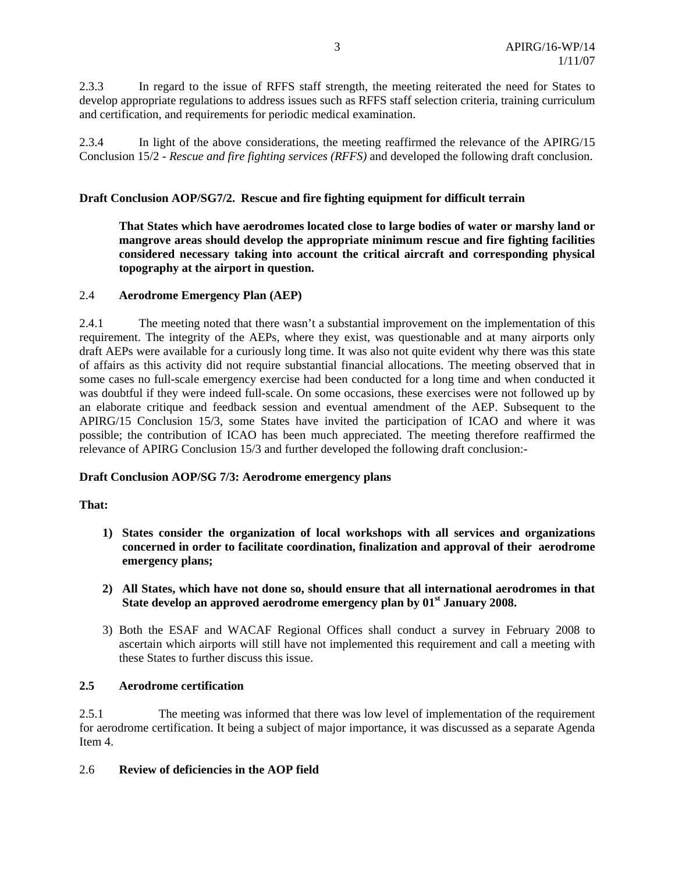2.3.3 In regard to the issue of RFFS staff strength, the meeting reiterated the need for States to develop appropriate regulations to address issues such as RFFS staff selection criteria, training curriculum and certification, and requirements for periodic medical examination.

2.3.4 In light of the above considerations, the meeting reaffirmed the relevance of the APIRG/15 Conclusion 15/2 - *Rescue and fire fighting services (RFFS)* and developed the following draft conclusion.

## **Draft Conclusion AOP/SG7/2. Rescue and fire fighting equipment for difficult terrain**

**That States which have aerodromes located close to large bodies of water or marshy land or mangrove areas should develop the appropriate minimum rescue and fire fighting facilities considered necessary taking into account the critical aircraft and corresponding physical topography at the airport in question.** 

#### 2.4 **Aerodrome Emergency Plan (AEP)**

2.4.1 The meeting noted that there wasn't a substantial improvement on the implementation of this requirement. The integrity of the AEPs, where they exist, was questionable and at many airports only draft AEPs were available for a curiously long time. It was also not quite evident why there was this state of affairs as this activity did not require substantial financial allocations. The meeting observed that in some cases no full-scale emergency exercise had been conducted for a long time and when conducted it was doubtful if they were indeed full-scale. On some occasions, these exercises were not followed up by an elaborate critique and feedback session and eventual amendment of the AEP. Subsequent to the APIRG/15 Conclusion 15/3, some States have invited the participation of ICAO and where it was possible; the contribution of ICAO has been much appreciated. The meeting therefore reaffirmed the relevance of APIRG Conclusion 15/3 and further developed the following draft conclusion:-

## **Draft Conclusion AOP/SG 7/3: Aerodrome emergency plans**

#### **That:**

- **1) States consider the organization of local workshops with all services and organizations concerned in order to facilitate coordination, finalization and approval of their aerodrome emergency plans;**
- **2) All States, which have not done so, should ensure that all international aerodromes in that State develop an approved aerodrome emergency plan by 01st January 2008.**
- 3) Both the ESAF and WACAF Regional Offices shall conduct a survey in February 2008 to ascertain which airports will still have not implemented this requirement and call a meeting with these States to further discuss this issue.

# **2.5 Aerodrome certification**

2.5.1 The meeting was informed that there was low level of implementation of the requirement for aerodrome certification. It being a subject of major importance, it was discussed as a separate Agenda Item 4.

#### 2.6 **Review of deficiencies in the AOP field**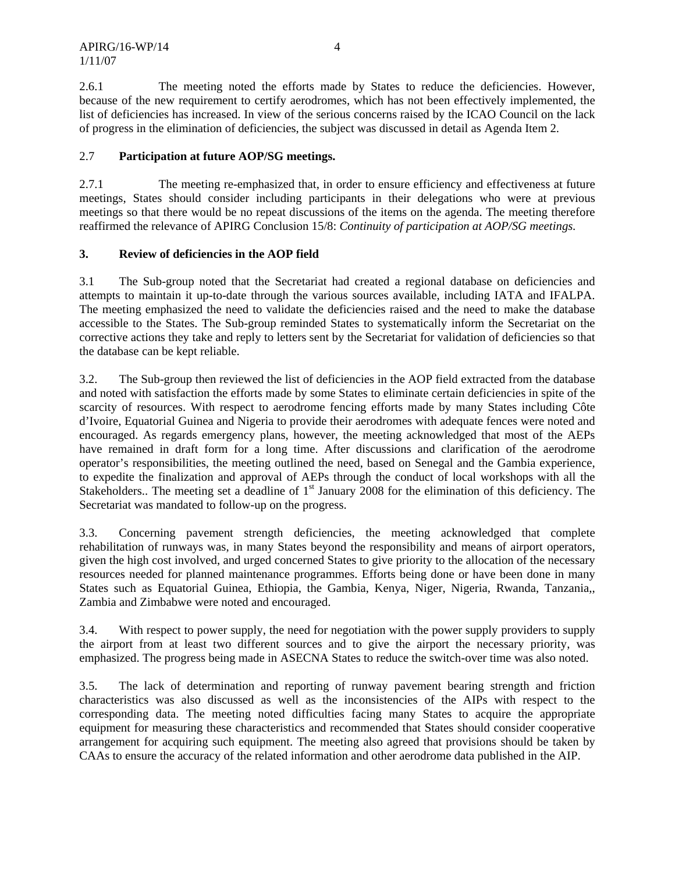2.6.1 The meeting noted the efforts made by States to reduce the deficiencies. However, because of the new requirement to certify aerodromes, which has not been effectively implemented, the list of deficiencies has increased. In view of the serious concerns raised by the ICAO Council on the lack of progress in the elimination of deficiencies, the subject was discussed in detail as Agenda Item 2.

# 2.7 **Participation at future AOP/SG meetings.**

2.7.1 The meeting re-emphasized that, in order to ensure efficiency and effectiveness at future meetings, States should consider including participants in their delegations who were at previous meetings so that there would be no repeat discussions of the items on the agenda. The meeting therefore reaffirmed the relevance of APIRG Conclusion 15/8: *Continuity of participation at AOP/SG meetings.*

# **3. Review of deficiencies in the AOP field**

3.1 The Sub-group noted that the Secretariat had created a regional database on deficiencies and attempts to maintain it up-to-date through the various sources available, including IATA and IFALPA. The meeting emphasized the need to validate the deficiencies raised and the need to make the database accessible to the States. The Sub-group reminded States to systematically inform the Secretariat on the corrective actions they take and reply to letters sent by the Secretariat for validation of deficiencies so that the database can be kept reliable.

3.2. The Sub-group then reviewed the list of deficiencies in the AOP field extracted from the database and noted with satisfaction the efforts made by some States to eliminate certain deficiencies in spite of the scarcity of resources. With respect to aerodrome fencing efforts made by many States including Côte d'Ivoire, Equatorial Guinea and Nigeria to provide their aerodromes with adequate fences were noted and encouraged. As regards emergency plans, however, the meeting acknowledged that most of the AEPs have remained in draft form for a long time. After discussions and clarification of the aerodrome operator's responsibilities, the meeting outlined the need, based on Senegal and the Gambia experience, to expedite the finalization and approval of AEPs through the conduct of local workshops with all the Stakeholders.. The meeting set a deadline of  $1<sup>st</sup>$  January 2008 for the elimination of this deficiency. The Secretariat was mandated to follow-up on the progress.

3.3. Concerning pavement strength deficiencies, the meeting acknowledged that complete rehabilitation of runways was, in many States beyond the responsibility and means of airport operators, given the high cost involved, and urged concerned States to give priority to the allocation of the necessary resources needed for planned maintenance programmes. Efforts being done or have been done in many States such as Equatorial Guinea, Ethiopia, the Gambia, Kenya, Niger, Nigeria, Rwanda, Tanzania,, Zambia and Zimbabwe were noted and encouraged.

3.4. With respect to power supply, the need for negotiation with the power supply providers to supply the airport from at least two different sources and to give the airport the necessary priority, was emphasized. The progress being made in ASECNA States to reduce the switch-over time was also noted.

3.5. The lack of determination and reporting of runway pavement bearing strength and friction characteristics was also discussed as well as the inconsistencies of the AIPs with respect to the corresponding data. The meeting noted difficulties facing many States to acquire the appropriate equipment for measuring these characteristics and recommended that States should consider cooperative arrangement for acquiring such equipment. The meeting also agreed that provisions should be taken by CAAs to ensure the accuracy of the related information and other aerodrome data published in the AIP.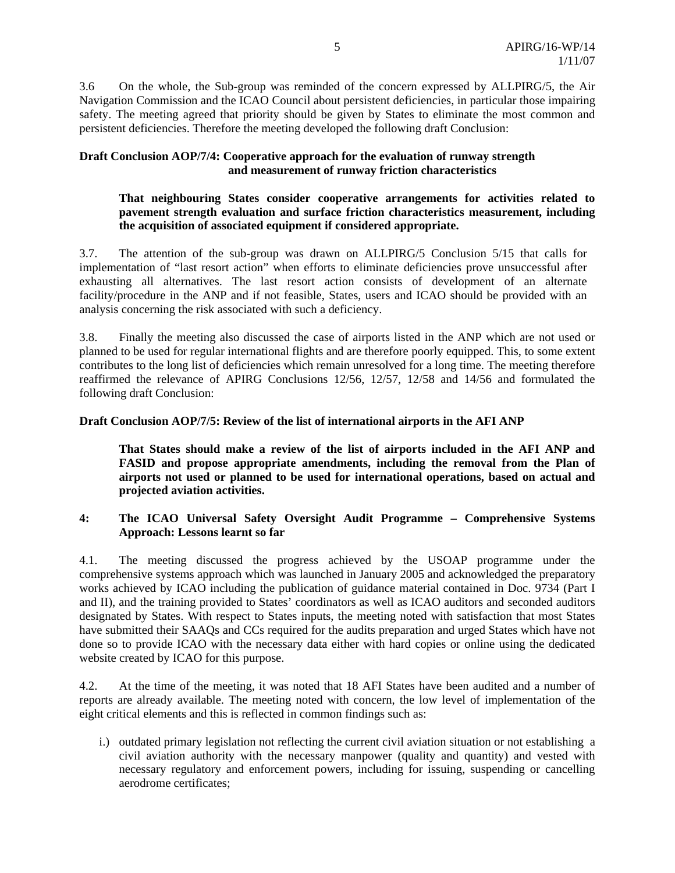3.6 On the whole, the Sub-group was reminded of the concern expressed by ALLPIRG/5, the Air Navigation Commission and the ICAO Council about persistent deficiencies, in particular those impairing safety. The meeting agreed that priority should be given by States to eliminate the most common and persistent deficiencies. Therefore the meeting developed the following draft Conclusion:

## **Draft Conclusion AOP/7/4: Cooperative approach for the evaluation of runway strength and measurement of runway friction characteristics**

## **That neighbouring States consider cooperative arrangements for activities related to pavement strength evaluation and surface friction characteristics measurement, including the acquisition of associated equipment if considered appropriate.**

3.7. The attention of the sub-group was drawn on ALLPIRG/5 Conclusion 5/15 that calls for implementation of "last resort action" when efforts to eliminate deficiencies prove unsuccessful after exhausting all alternatives. The last resort action consists of development of an alternate facility/procedure in the ANP and if not feasible, States, users and ICAO should be provided with an analysis concerning the risk associated with such a deficiency.

3.8. Finally the meeting also discussed the case of airports listed in the ANP which are not used or planned to be used for regular international flights and are therefore poorly equipped. This, to some extent contributes to the long list of deficiencies which remain unresolved for a long time. The meeting therefore reaffirmed the relevance of APIRG Conclusions 12/56, 12/57, 12/58 and 14/56 and formulated the following draft Conclusion:

# **Draft Conclusion AOP/7/5: Review of the list of international airports in the AFI ANP**

**That States should make a review of the list of airports included in the AFI ANP and FASID and propose appropriate amendments, including the removal from the Plan of airports not used or planned to be used for international operations, based on actual and projected aviation activities.** 

# **4: The ICAO Universal Safety Oversight Audit Programme – Comprehensive Systems Approach: Lessons learnt so far**

4.1. The meeting discussed the progress achieved by the USOAP programme under the comprehensive systems approach which was launched in January 2005 and acknowledged the preparatory works achieved by ICAO including the publication of guidance material contained in Doc. 9734 (Part I and II), and the training provided to States' coordinators as well as ICAO auditors and seconded auditors designated by States. With respect to States inputs, the meeting noted with satisfaction that most States have submitted their SAAQs and CCs required for the audits preparation and urged States which have not done so to provide ICAO with the necessary data either with hard copies or online using the dedicated website created by ICAO for this purpose.

4.2. At the time of the meeting, it was noted that 18 AFI States have been audited and a number of reports are already available. The meeting noted with concern, the low level of implementation of the eight critical elements and this is reflected in common findings such as:

i.) outdated primary legislation not reflecting the current civil aviation situation or not establishing a civil aviation authority with the necessary manpower (quality and quantity) and vested with necessary regulatory and enforcement powers, including for issuing, suspending or cancelling aerodrome certificates;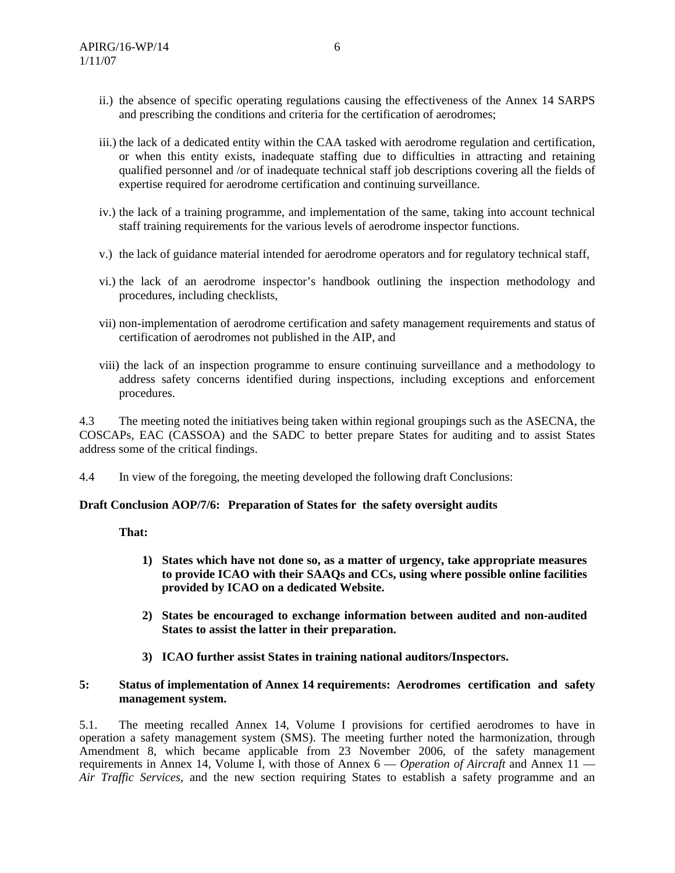- ii.) the absence of specific operating regulations causing the effectiveness of the Annex 14 SARPS and prescribing the conditions and criteria for the certification of aerodromes;
- iii.) the lack of a dedicated entity within the CAA tasked with aerodrome regulation and certification, or when this entity exists, inadequate staffing due to difficulties in attracting and retaining qualified personnel and /or of inadequate technical staff job descriptions covering all the fields of expertise required for aerodrome certification and continuing surveillance.
- iv.) the lack of a training programme, and implementation of the same, taking into account technical staff training requirements for the various levels of aerodrome inspector functions.
- v.) the lack of guidance material intended for aerodrome operators and for regulatory technical staff,
- vi.) the lack of an aerodrome inspector's handbook outlining the inspection methodology and procedures, including checklists,
- vii) non-implementation of aerodrome certification and safety management requirements and status of certification of aerodromes not published in the AIP, and
- viii) the lack of an inspection programme to ensure continuing surveillance and a methodology to address safety concerns identified during inspections, including exceptions and enforcement procedures.

4.3 The meeting noted the initiatives being taken within regional groupings such as the ASECNA, the COSCAPs, EAC (CASSOA) and the SADC to better prepare States for auditing and to assist States address some of the critical findings.

4.4 In view of the foregoing, the meeting developed the following draft Conclusions:

## **Draft Conclusion AOP/7/6: Preparation of States for the safety oversight audits**

#### **That:**

- **1) States which have not done so, as a matter of urgency, take appropriate measures to provide ICAO with their SAAQs and CCs, using where possible online facilities provided by ICAO on a dedicated Website.**
- **2) States be encouraged to exchange information between audited and non-audited States to assist the latter in their preparation.**
- **3) ICAO further assist States in training national auditors/Inspectors.**

#### **5: Status of implementation of Annex 14 requirements: Aerodromes certification and safety management system.**

5.1. The meeting recalled Annex 14, Volume I provisions for certified aerodromes to have in operation a safety management system (SMS). The meeting further noted the harmonization, through Amendment 8, which became applicable from 23 November 2006, of the safety management requirements in Annex 14, Volume I, with those of Annex 6 — *Operation of Aircraft* and Annex 11 — *Air Traffic Services*, and the new section requiring States to establish a safety programme and an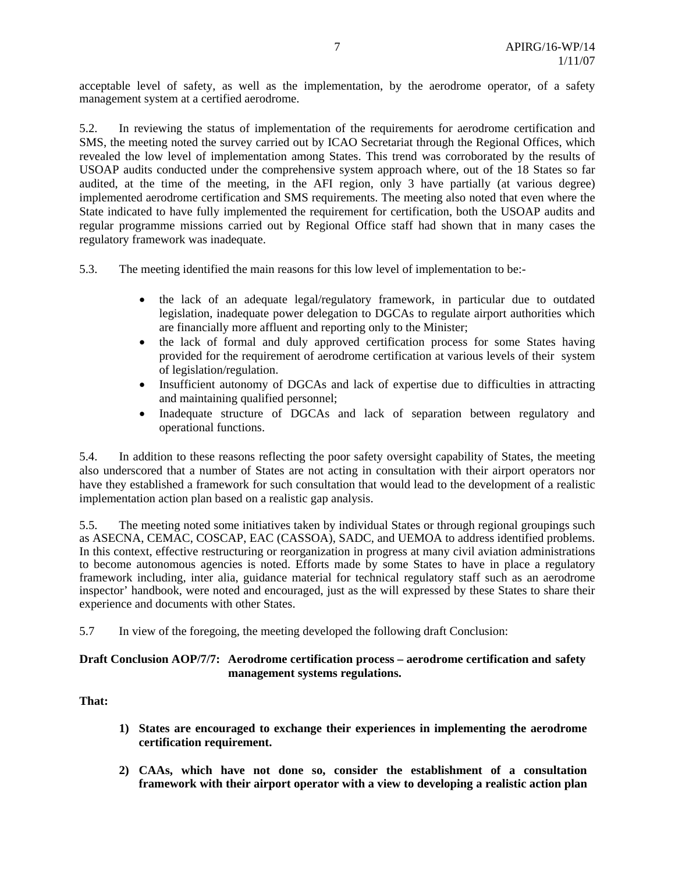acceptable level of safety, as well as the implementation, by the aerodrome operator, of a safety management system at a certified aerodrome.

5.2. In reviewing the status of implementation of the requirements for aerodrome certification and SMS, the meeting noted the survey carried out by ICAO Secretariat through the Regional Offices, which revealed the low level of implementation among States. This trend was corroborated by the results of USOAP audits conducted under the comprehensive system approach where, out of the 18 States so far audited, at the time of the meeting, in the AFI region, only 3 have partially (at various degree) implemented aerodrome certification and SMS requirements. The meeting also noted that even where the State indicated to have fully implemented the requirement for certification, both the USOAP audits and regular programme missions carried out by Regional Office staff had shown that in many cases the regulatory framework was inadequate.

5.3. The meeting identified the main reasons for this low level of implementation to be:-

- the lack of an adequate legal/regulatory framework, in particular due to outdated legislation, inadequate power delegation to DGCAs to regulate airport authorities which are financially more affluent and reporting only to the Minister;
- the lack of formal and duly approved certification process for some States having provided for the requirement of aerodrome certification at various levels of their system of legislation/regulation.
- Insufficient autonomy of DGCAs and lack of expertise due to difficulties in attracting and maintaining qualified personnel;
- Inadequate structure of DGCAs and lack of separation between regulatory and operational functions.

5.4. In addition to these reasons reflecting the poor safety oversight capability of States, the meeting also underscored that a number of States are not acting in consultation with their airport operators nor have they established a framework for such consultation that would lead to the development of a realistic implementation action plan based on a realistic gap analysis.

5.5. The meeting noted some initiatives taken by individual States or through regional groupings such as ASECNA, CEMAC, COSCAP, EAC (CASSOA), SADC, and UEMOA to address identified problems. In this context, effective restructuring or reorganization in progress at many civil aviation administrations to become autonomous agencies is noted. Efforts made by some States to have in place a regulatory framework including, inter alia, guidance material for technical regulatory staff such as an aerodrome inspector' handbook, were noted and encouraged, just as the will expressed by these States to share their experience and documents with other States.

5.7 In view of the foregoing, the meeting developed the following draft Conclusion:

## **Draft Conclusion AOP/7/7: Aerodrome certification process – aerodrome certification and safety management systems regulations.**

## **That:**

- **1) States are encouraged to exchange their experiences in implementing the aerodrome certification requirement.**
- **2) CAAs, which have not done so, consider the establishment of a consultation framework with their airport operator with a view to developing a realistic action plan**